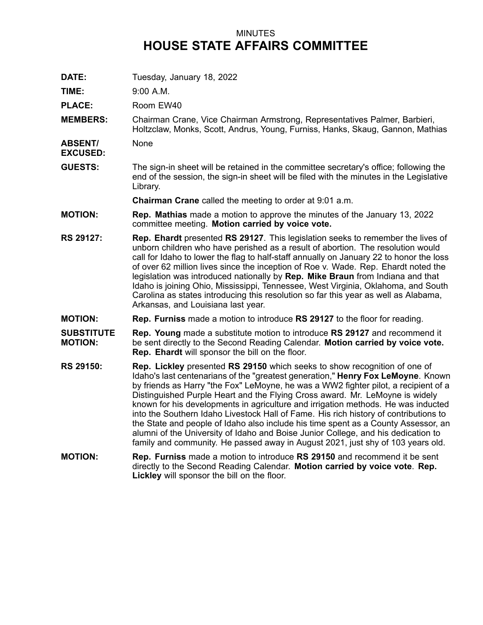## MINUTES **HOUSE STATE AFFAIRS COMMITTEE**

**DATE:** Tuesday, January 18, 2022

**TIME:** 9:00 A.M.

PLACE: Room EW40

**MEMBERS:** Chairman Crane, Vice Chairman Armstrong, Representatives Palmer, Barbieri, Holtzclaw, Monks, Scott, Andrus, Young, Furniss, Hanks, Skaug, Gannon, Mathias

**ABSENT/** None

**EXCUSED:**

**GUESTS:** The sign-in sheet will be retained in the committee secretary's office; following the end of the session, the sign-in sheet will be filed with the minutes in the Legislative Library.

**Chairman Crane** called the meeting to order at 9:01 a.m.

- **MOTION: Rep. Mathias** made <sup>a</sup> motion to approve the minutes of the January 13, 2022 committee meeting. **Motion carried by voice vote.**
- **RS 29127: Rep. Ehardt** presented **RS 29127**. This legislation seeks to remember the lives of unborn children who have perished as <sup>a</sup> result of abortion. The resolution would call for Idaho to lower the flag to half-staff annually on January 22 to honor the loss of over 62 million lives since the inception of Roe v. Wade. Rep. Ehardt noted the legislation was introduced nationally by **Rep. Mike Braun** from Indiana and that Idaho is joining Ohio, Mississippi, Tennessee, West Virginia, Oklahoma, and South Carolina as states introducing this resolution so far this year as well as Alabama, Arkansas, and Louisiana last year.

**MOTION: Rep. Furniss** made <sup>a</sup> motion to introduce **RS 29127** to the floor for reading.

**SUBSTITUTE MOTION: Rep. Young** made <sup>a</sup> substitute motion to introduce **RS 29127** and recommend it be sent directly to the Second Reading Calendar. **Motion carried by voice vote. Rep. Ehardt** will sponsor the bill on the floor.

- **RS 29150: Rep. Lickley** presented **RS 29150** which seeks to show recognition of one of Idaho's last centenarians of the "greatest generation," **Henry Fox LeMoyne**. Known by friends as Harry "the Fox" LeMoyne, he was <sup>a</sup> WW2 fighter pilot, <sup>a</sup> recipient of <sup>a</sup> Distinguished Purple Heart and the Flying Cross award. Mr. LeMoyne is widely known for his developments in agriculture and irrigation methods. He was inducted into the Southern Idaho Livestock Hall of Fame. His rich history of contributions to the State and people of Idaho also include his time spent as <sup>a</sup> County Assessor, an alumni of the University of Idaho and Boise Junior College, and his dedication to family and community. He passed away in August 2021, just shy of 103 years old.
- **MOTION: Rep. Furniss** made <sup>a</sup> motion to introduce **RS 29150** and recommend it be sent directly to the Second Reading Calendar. **Motion carried by voice vote**. **Rep. Lickley** will sponsor the bill on the floor.